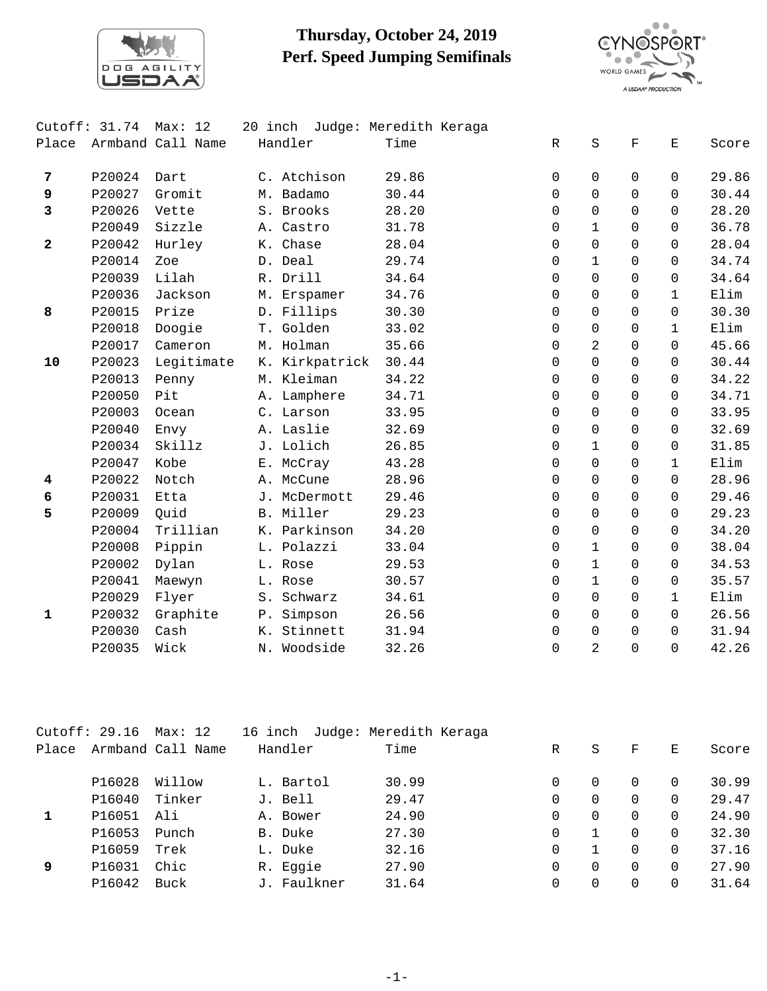

## **Thursday, October 24, 2019 Perf. Speed Jumping Semifinals**



|              | Cutoff: $31.74$ | Max: 12           | 20 inch        | Judge: Meredith Keraga |             |                |             |              |       |
|--------------|-----------------|-------------------|----------------|------------------------|-------------|----------------|-------------|--------------|-------|
| Place        |                 | Armband Call Name | Handler        | Time                   | $\mathbb R$ | S              | $\mathbf F$ | Ε            | Score |
| 7            | P20024          | Dart              | C. Atchison    | 29.86                  | $\Omega$    | $\Omega$       | $\Omega$    | $\Omega$     | 29.86 |
| 9            | P20027          | Gromit            | M. Badamo      | 30.44                  | $\Omega$    | $\Omega$       | $\Omega$    | $\Omega$     | 30.44 |
| 3            | P20026          | Vette             | S. Brooks      | 28.20                  | $\Omega$    | $\Omega$       | $\Omega$    | 0            | 28.20 |
|              | P20049          | Sizzle            | A. Castro      | 31.78                  | $\Omega$    | $\mathbf{1}$   | $\Omega$    | $\Omega$     | 36.78 |
| $\mathbf{2}$ | P20042          | Hurley            | K. Chase       | 28.04                  | 0           | $\Omega$       | $\Omega$    | $\Omega$     | 28.04 |
|              | P20014          | Zoe               | D. Deal        | 29.74                  | $\Omega$    | $\mathbf{1}$   | $\Omega$    | $\Omega$     | 34.74 |
|              | P20039          | Lilah             | R. Drill       | 34.64                  | $\Omega$    | $\Omega$       | $\Omega$    | $\Omega$     | 34.64 |
|              | P20036          | Jackson           | M. Erspamer    | 34.76                  | $\Omega$    | $\Omega$       | $\Omega$    | $\mathbf{1}$ | Elim  |
| 8            | P20015          | Prize             | D. Fillips     | 30.30                  | $\Omega$    | $\Omega$       | $\Omega$    | $\Omega$     | 30.30 |
|              | P20018          | Doogie            | T. Golden      | 33.02                  | $\Omega$    | $\mathbf 0$    | $\Omega$    | $\mathbf{1}$ | Elim  |
|              | P20017          | Cameron           | M. Holman      | 35.66                  | $\Omega$    | 2              | $\Omega$    | $\Omega$     | 45.66 |
| 10           | P20023          | Legitimate        | K. Kirkpatrick | 30.44                  | $\Omega$    | $\mathbf 0$    | $\Omega$    | $\Omega$     | 30.44 |
|              | P20013          | Penny             | M. Kleiman     | 34.22                  | 0           | $\mathbf 0$    | $\Omega$    | $\Omega$     | 34.22 |
|              | P20050          | Pit               | A. Lamphere    | 34.71                  | $\Omega$    | $\Omega$       | $\Omega$    | $\Omega$     | 34.71 |
|              | P20003          | Ocean             | C. Larson      | 33.95                  | $\Omega$    | $\Omega$       | $\Omega$    | $\Omega$     | 33.95 |
|              | P20040          | Envy              | A. Laslie      | 32.69                  | $\Omega$    | $\Omega$       | $\Omega$    | $\Omega$     | 32.69 |
|              | P20034          | Skillz            | J. Lolich      | 26.85                  | $\Omega$    | $\mathbf{1}$   | $\Omega$    | $\Omega$     | 31.85 |
|              | P20047          | Kobe              | E. McCray      | 43.28                  | $\Omega$    | $\mathbf 0$    | $\Omega$    | $\mathbf{1}$ | Elim  |
| 4            | P20022          | Notch             | A. McCune      | 28.96                  | $\Omega$    | $\Omega$       | $\Omega$    | 0            | 28.96 |
| 6            | P20031          | Etta              | J. McDermott   | 29.46                  | $\Omega$    | $\mathbf 0$    | $\Omega$    | $\Omega$     | 29.46 |
| 5            | P20009          | Quid              | B. Miller      | 29.23                  | 0           | $\mathbf 0$    | $\Omega$    | $\Omega$     | 29.23 |
|              | P20004          | Trillian          | K. Parkinson   | 34.20                  | $\Omega$    | $\mathbf 0$    | $\Omega$    | $\Omega$     | 34.20 |
|              | P20008          | Pippin            | L. Polazzi     | 33.04                  | $\Omega$    | $\mathbf{1}$   | $\Omega$    | $\Omega$     | 38.04 |
|              | P20002          | Dylan             | L. Rose        | 29.53                  | $\Omega$    | $\mathbf{1}$   | $\Omega$    | $\Omega$     | 34.53 |
|              | P20041          | Maewyn            | L. Rose        | 30.57                  | $\Omega$    | $\mathbf{1}$   | $\Omega$    | $\Omega$     | 35.57 |
|              | P20029          | Flyer             | S. Schwarz     | 34.61                  | $\Omega$    | $\mathbf 0$    | $\Omega$    | $\mathbf{1}$ | Elim  |
| $\mathbf{1}$ | P20032          | Graphite          | P. Simpson     | 26.56                  | $\Omega$    | $\Omega$       | $\Omega$    | $\Omega$     | 26.56 |
|              | P20030          | Cash              | K. Stinnett    | 31.94                  | $\Omega$    | $\Omega$       | $\Omega$    | $\Omega$     | 31.94 |
|              | P20035          | Wick              | N. Woodside    | 32.26                  | $\Omega$    | $\overline{2}$ | $\Omega$    | $\Omega$     | 42.26 |

|       | Cutoff: $29.16$ | Max: 12           | 16 inch     | Judge: Meredith Keraga |   |          |          |   |       |
|-------|-----------------|-------------------|-------------|------------------------|---|----------|----------|---|-------|
| Place |                 | Armband Call Name | Handler     | Time                   | R | S        | F        | Ε | Score |
|       | P16028          | Willow            | L. Bartol   | 30.99                  | 0 | $\Omega$ | $\Omega$ | 0 | 30.99 |
|       | P16040          | Tinker            | J. Bell     | 29.47                  | 0 | $\Omega$ |          | 0 | 29.47 |
|       | P16051          | Ali               | A. Bower    | 24.90                  | 0 | $\Omega$ |          | 0 | 24.90 |
|       | P16053          | Punch             | B. Duke     | 27.30                  | 0 |          |          | 0 | 32.30 |
|       | P16059          | Trek              | L. Duke     | 32.16                  | 0 |          |          | 0 | 37.16 |
| 9     | P16031          | Chic              | R. Eggie    | 27.90                  | 0 | $\Omega$ |          | 0 | 27.90 |
|       | P16042          | Buck              | J. Faulkner | 31.64                  | 0 | $\Omega$ |          | 0 | 31.64 |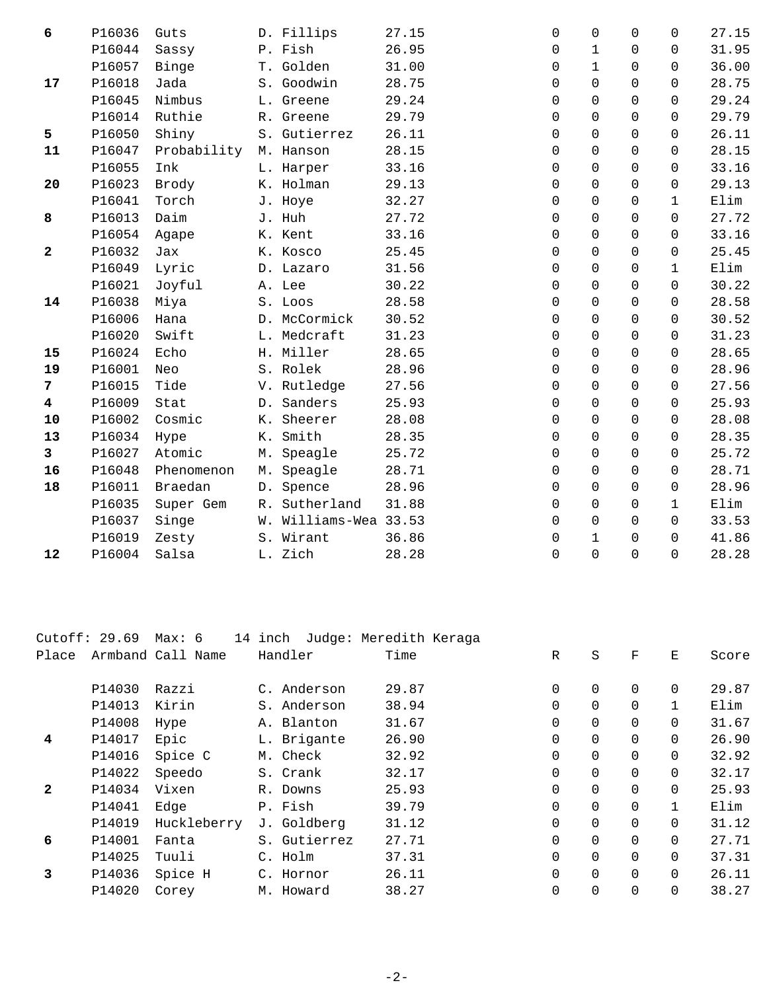| 6                       | P16036 | Guts        | D. Fillips            | 27.15 | 0           | $\Omega$     | $\Omega$    | $\Omega$     | 27.15 |
|-------------------------|--------|-------------|-----------------------|-------|-------------|--------------|-------------|--------------|-------|
|                         | P16044 | Sassy       | P. Fish               | 26.95 | 0           | $\mathbf{1}$ | 0           | 0            | 31.95 |
|                         | P16057 | Binge       | T. Golden             | 31.00 | 0           | $\mathbf{1}$ | $\Omega$    | $\Omega$     | 36.00 |
| 17                      | P16018 | Jada        | S. Goodwin            | 28.75 | 0           | $\Omega$     | $\Omega$    | 0            | 28.75 |
|                         | P16045 | Nimbus      | L. Greene             | 29.24 | $\mathbf 0$ | $\mathbf 0$  | $\mathbf 0$ | $\Omega$     | 29.24 |
|                         | P16014 | Ruthie      | R. Greene             | 29.79 | 0           | $\mathbf 0$  | $\Omega$    | 0            | 29.79 |
| 5                       | P16050 | Shiny       | S. Gutierrez          | 26.11 | $\mathbf 0$ | $\Omega$     | $\Omega$    | 0            | 26.11 |
| 11                      | P16047 | Probability | M. Hanson             | 28.15 | $\mathbf 0$ | $\mathbf 0$  | $\Omega$    | $\Omega$     | 28.15 |
|                         | P16055 | Ink         | L. Harper             | 33.16 | $\mathbf 0$ | $\mathbf 0$  | 0           | 0            | 33.16 |
| 20                      | P16023 | Brody       | K. Holman             | 29.13 | 0           | $\Omega$     | $\Omega$    | $\Omega$     | 29.13 |
|                         | P16041 | Torch       | J. Hoye               | 32.27 | $\mathbf 0$ | $\mathbf 0$  | $\mathbf 0$ | $\mathbf{1}$ | Elim  |
| 8                       | P16013 | Daim        | J. Huh                | 27.72 | 0           | $\mathbf 0$  | $\mathbf 0$ | 0            | 27.72 |
|                         | P16054 | Agape       | K. Kent               | 33.16 | $\mathbf 0$ | $\Omega$     | $\Omega$    | $\Omega$     | 33.16 |
| $\mathbf{2}$            | P16032 | Jax         | K. Kosco              | 25.45 | $\mathbf 0$ | $\mathbf 0$  | 0           | 0            | 25.45 |
|                         | P16049 | Lyric       | D. Lazaro             | 31.56 | 0           | $\mathbf 0$  | 0           | $\mathbf{1}$ | Elim  |
|                         | P16021 | Joyful      | A. Lee                | 30.22 | 0           | $\Omega$     | $\Omega$    | 0            | 30.22 |
| 14                      | P16038 | Miya        | S. Loos               | 28.58 | $\mathbf 0$ | $\Omega$     | $\Omega$    | $\Omega$     | 28.58 |
|                         | P16006 | Hana        | D. McCormick          | 30.52 | $\mathbf 0$ | $\mathbf 0$  | 0           | 0            | 30.52 |
|                         | P16020 | Swift       | L. Medcraft           | 31.23 | $\mathbf 0$ | $\mathbf 0$  | $\Omega$    | 0            | 31.23 |
| 15                      | P16024 | Echo        | H. Miller             | 28.65 | $\mathbf 0$ | $\mathbf 0$  | $\Omega$    | $\Omega$     | 28.65 |
| 19                      | P16001 | Neo         | S. Rolek              | 28.96 | 0           | $\mathbf 0$  | 0           | 0            | 28.96 |
| 7                       | P16015 | Tide        | V. Rutledge           | 27.56 | 0           | $\Omega$     | $\Omega$    | $\Omega$     | 27.56 |
| $\overline{\mathbf{4}}$ | P16009 | Stat        | D. Sanders            | 25.93 | 0           | $\mathbf 0$  | 0           | $\Omega$     | 25.93 |
| 10                      | P16002 | Cosmic      | K. Sheerer            | 28.08 | 0           | $\Omega$     | $\Omega$    | $\Omega$     | 28.08 |
| 13                      | P16034 | Hype        | K. Smith              | 28.35 | 0           | $\Omega$     | $\Omega$    | $\Omega$     | 28.35 |
| $\mathbf{3}$            | P16027 | Atomic      | M. Speagle            | 25.72 | $\mathbf 0$ | $\mathbf 0$  | 0           | 0            | 25.72 |
| 16                      | P16048 | Phenomenon  | M. Speagle            | 28.71 | 0           | $\mathbf 0$  | 0           | 0            | 28.71 |
| 18                      | P16011 | Braedan     | D. Spence             | 28.96 | $\mathbf 0$ | $\mathbf 0$  | 0           | 0            | 28.96 |
|                         | P16035 | Super Gem   | R. Sutherland         | 31.88 | $\mathbf 0$ | $\Omega$     | $\Omega$    | $\mathbf{1}$ | Elim  |
|                         | P16037 | Singe       | W. Williams-Wea 33.53 |       | $\mathbf 0$ | $\mathbf 0$  | 0           | 0            | 33.53 |
|                         | P16019 | Zesty       | S. Wirant             | 36.86 | 0           | $\mathbf 1$  | $\Omega$    | $\Omega$     | 41.86 |
| 12                      | P16004 | Salsa       | L. Zich               | 28.28 | 0           | $\mathbf 0$  | $\mathbf 0$ | 0            | 28.28 |
|                         |        |             |                       |       |             |              |             |              |       |

| Cutoff: 29.69 |        | Max: 6            | 14 inch      | Judge: Meredith Keraga |          |          |          |          |       |
|---------------|--------|-------------------|--------------|------------------------|----------|----------|----------|----------|-------|
| Place         |        | Armband Call Name | Handler      | Time                   | R        | S        | F        | Е        | Score |
|               | P14030 | Razzi             | C. Anderson  | 29.87                  | $\Omega$ | $\Omega$ | $\Omega$ | $\Omega$ | 29.87 |
|               | P14013 | Kirin             | S. Anderson  | 38.94                  | 0        | $\Omega$ | $\Omega$ |          | Elim  |
|               | P14008 | Hype              | A. Blanton   | 31.67                  | 0        | $\Omega$ | $\Omega$ | $\Omega$ | 31.67 |
| 4             | P14017 | Epic              | L. Brigante  | 26.90                  | $\Omega$ | $\Omega$ | $\Omega$ | $\Omega$ | 26.90 |
|               | P14016 | Spice C           | M. Check     | 32.92                  | 0        | 0        | $\Omega$ | $\Omega$ | 32.92 |
|               | P14022 | Speedo            | S. Crank     | 32.17                  | $\Omega$ | $\Omega$ | $\Omega$ | $\Omega$ | 32.17 |
| $\mathbf{2}$  | P14034 | Vixen             | R. Downs     | 25.93                  | $\Omega$ | $\Omega$ | $\Omega$ | $\Omega$ | 25.93 |
|               | P14041 | Edge              | P. Fish      | 39.79                  | 0        | $\Omega$ | $\Omega$ |          | Elim  |
|               | P14019 | Huckleberry       | J. Goldberg  | 31.12                  | $\Omega$ | $\Omega$ | $\Omega$ | $\Omega$ | 31.12 |
| 6             | P14001 | Fanta             | S. Gutierrez | 27.71                  | $\Omega$ | $\Omega$ | $\Omega$ | $\Omega$ | 27.71 |
|               | P14025 | Tuuli             | C. Holm      | 37.31                  | $\Omega$ | $\Omega$ | $\Omega$ | $\Omega$ | 37.31 |
| 3             | P14036 | Spice H           | C. Hornor    | 26.11                  | $\Omega$ | $\Omega$ | $\Omega$ | $\Omega$ | 26.11 |
|               | P14020 | Corey             | M. Howard    | 38.27                  | $\Omega$ | 0        | $\Omega$ | $\Omega$ | 38.27 |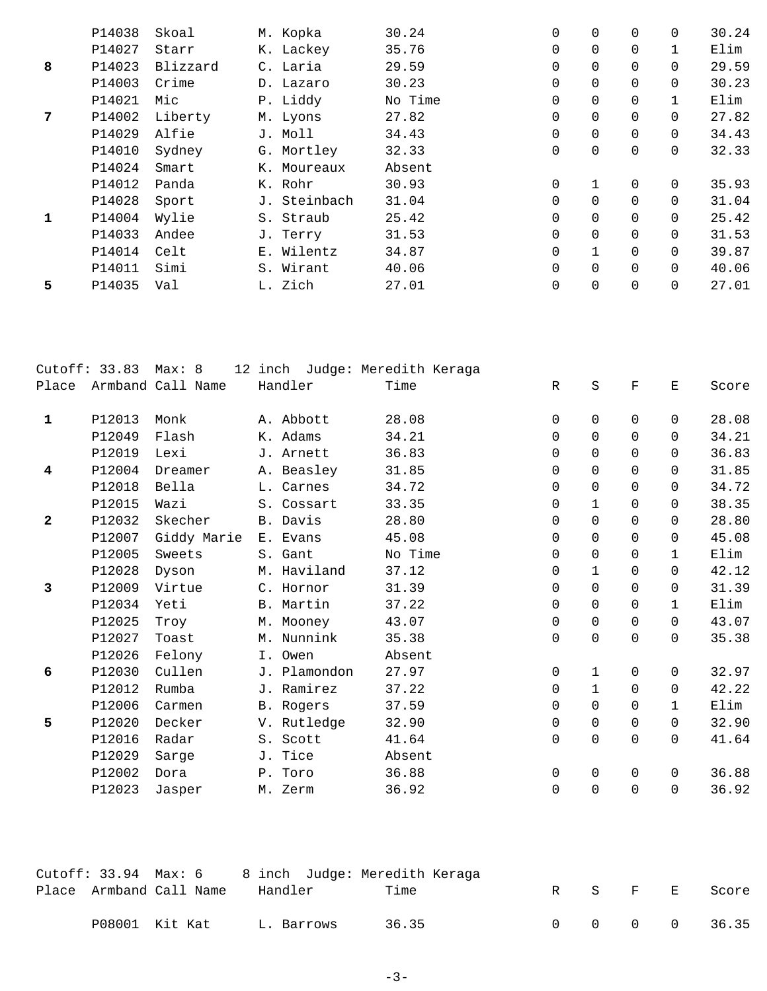|    | P14038 | Skoal    | M. Kopka     | 30.24   | 0           | 0              | $\Omega$       | $\Omega$    | 30.24 |
|----|--------|----------|--------------|---------|-------------|----------------|----------------|-------------|-------|
|    | P14027 | Starr    | K. Lackey    | 35.76   | $\mathbf 0$ | $\mathbf 0$    | $\Omega$       |             | Elim  |
| 8  | P14023 | Blizzard | C. Laria     | 29.59   | 0           | 0              | 0              | $\mathbf 0$ | 29.59 |
|    | P14003 | Crime    | D. Lazaro    | 30.23   | $\mathbf 0$ | $\mathbf 0$    | $\Omega$       | $\Omega$    | 30.23 |
|    | P14021 | Mic      | P. Liddy     | No Time | 0           | $\mathbf 0$    | $\mathbf 0$    |             | Elim  |
| 7  | P14002 | Liberty  | M. Lyons     | 27.82   | 0           | 0              | 0              | $\mathbf 0$ | 27.82 |
|    | P14029 | Alfie    | J. Moll      | 34.43   | $\Omega$    | $\Omega$       | $\Omega$       | $\Omega$    | 34.43 |
|    | P14010 | Sydney   | G. Mortley   | 32.33   | $\mathbf 0$ | $\mathbf 0$    | 0              | $\mathbf 0$ | 32.33 |
|    | P14024 | Smart    | K. Moureaux  | Absent  |             |                |                |             |       |
|    | P14012 | Panda    | K. Rohr      | 30.93   | 0           |                | $\Omega$       | $\Omega$    | 35.93 |
|    | P14028 | Sport    | J. Steinbach | 31.04   | 0           | 0              | $\Omega$       | $\Omega$    | 31.04 |
| 1  | P14004 | Wylie    | S. Straub    | 25.42   | 0           | $\mathbf 0$    | $\Omega$       | $\Omega$    | 25.42 |
|    | P14033 | Andee    | J. Terry     | 31.53   | $\Omega$    | $\Omega$       | $\Omega$       | $\Omega$    | 31.53 |
|    | P14014 | Celt     | E. Wilentz   | 34.87   | 0           | $\mathbf{1}$   | 0              | $\Omega$    | 39.87 |
|    | P14011 | Simi     | S. Wirant    | 40.06   | $\mathbf 0$ | $\mathbf 0$    | $\Omega$       | $\Omega$    | 40.06 |
| 5. | P14035 | Val      | L. Zich      | 27.01   | $\mathbf 0$ | $\overline{0}$ | $\overline{0}$ | $\Omega$    | 27.01 |
|    |        |          |              |         |             |                |                |             |       |

|                         | Cutoff: 33.83 | Max: 8            | 12 inch Judge: Meredith Keraga |         |                     |             |             |              |       |
|-------------------------|---------------|-------------------|--------------------------------|---------|---------------------|-------------|-------------|--------------|-------|
| Place                   |               | Armband Call Name | Handler                        | Time    | $\mathbb R$         | $\rm S$     | $\mathbf F$ | Ε            | Score |
| $\mathbf{1}$            | P12013        | Monk              | A. Abbott                      | 28.08   | $\mathbf 0$         | $\mathbf 0$ | $\mathbf 0$ | 0            | 28.08 |
|                         | P12049        | Flash             | K. Adams                       | 34.21   | $\mathbf 0$         | $\Omega$    | $\Omega$    | $\Omega$     | 34.21 |
|                         | P12019        | Lexi              | J. Arnett                      | 36.83   | $\mathbf 0$         | $\mathbf 0$ | $\Omega$    | $\Omega$     | 36.83 |
| $\overline{\mathbf{4}}$ | P12004        | Dreamer           | A. Beasley                     | 31.85   | 0                   | 0           | $\Omega$    | $\Omega$     | 31.85 |
|                         | P12018        | Bella             | L. Carnes                      | 34.72   | 0                   | 0           | $\mathbf 0$ | $\mathbf 0$  | 34.72 |
|                         | P12015        | Wazi              | S. Cossart                     | 33.35   | 0                   | $\mathbf 1$ | 0           | $\Omega$     | 38.35 |
| $\mathbf{2}$            | P12032        | Skecher           | B. Davis                       | 28.80   | $\mathbf 0$         | $\mathbf 0$ | 0           | 0            | 28.80 |
|                         | P12007        | Giddy Marie       | E. Evans                       | 45.08   | 0                   | 0           | 0           | $\Omega$     | 45.08 |
|                         | P12005        | Sweets            | S. Gant                        | No Time | 0                   | $\mathbf 0$ | 0           | $\mathbf{1}$ | Elim  |
|                         | P12028        | Dyson             | M. Haviland                    | 37.12   | 0                   | 1           | $\Omega$    | $\Omega$     | 42.12 |
| 3                       | P12009        | Virtue            | C. Hornor                      | 31.39   | $\mathbf 0$         | $\mathbf 0$ | $\Omega$    | $\Omega$     | 31.39 |
|                         | P12034        | Yeti              | B. Martin                      | 37.22   | $\mathbf 0$         | $\mathbf 0$ | $\Omega$    | $\mathbf{1}$ | Elim  |
|                         | P12025        | Troy              | M. Mooney                      | 43.07   | 0                   | $\mathbf 0$ | 0           | $\Omega$     | 43.07 |
|                         | P12027        | Toast             | M. Nunnink                     | 35.38   | $\mathsf 0$         | $\mathbf 0$ | 0           | $\Omega$     | 35.38 |
|                         | P12026        | Felony            | I. Owen                        | Absent  |                     |             |             |              |       |
| 6                       | P12030        | Cullen            | J. Plamondon                   | 27.97   | $\mathsf{O}\xspace$ | $\mathbf 1$ | 0           | $\mathbf 0$  | 32.97 |
|                         | P12012        | Rumba             | J. Ramirez                     | 37.22   | 0                   | $\mathbf 1$ | $\mathbf 0$ | 0            | 42.22 |
|                         | P12006        | Carmen            | B. Rogers                      | 37.59   | 0                   | $\mathbf 0$ | $\Omega$    | $\mathbf{1}$ | Elim  |
| 5                       | P12020        | Decker            | V. Rutledge                    | 32.90   | 0                   | $\mathbf 0$ | 0           | 0            | 32.90 |
|                         | P12016        | Radar             | S. Scott                       | 41.64   | $\mathbf 0$         | $\mathbf 0$ | $\Omega$    | $\Omega$     | 41.64 |
|                         | P12029        | Sarge             | J. Tice                        | Absent  |                     |             |             |              |       |
|                         | P12002        | Dora              | P. Toro                        | 36.88   | 0                   | $\mathsf 0$ | $\mathbf 0$ | $\Omega$     | 36.88 |
|                         | P12023        | Jasper            | M. Zerm                        | 36.92   | $\mathsf 0$         | $\mathbf 0$ | 0           | $\mathbf 0$  | 36.92 |
|                         |               |                   |                                |         |                     |             |             |              |       |

|  | Cutoff: 33.94  Max: 6     8 inch  Judge: Meredith Keraga |            |       |  |  |         |               |
|--|----------------------------------------------------------|------------|-------|--|--|---------|---------------|
|  | Place Armband Call Name                                  | Handler    | Time  |  |  | R S F E | Score         |
|  | P08001 Kit Kat                                           | L. Barrows | 36.35 |  |  |         | 0 0 0 0 36.35 |